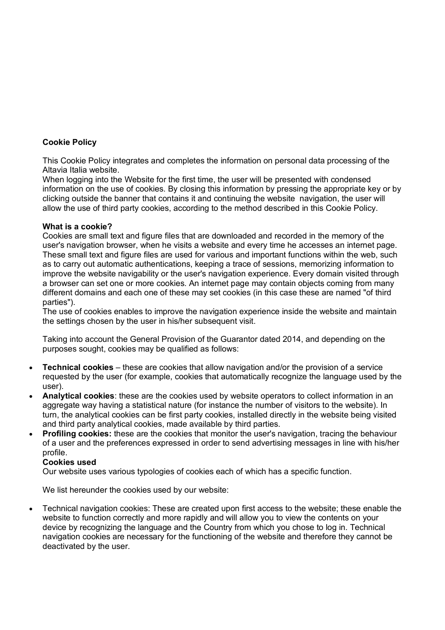## **Cookie Policy**

This Cookie Policy integrates and completes the information on personal data processing of the Altavia Italia website.

When logging into the Website for the first time, the user will be presented with condensed information on the use of cookies. By closing this information by pressing the appropriate key or by clicking outside the banner that contains it and continuing the website navigation, the user will allow the use of third party cookies, according to the method described in this Cookie Policy.

## **What is a cookie?**

Cookies are small text and figure files that are downloaded and recorded in the memory of the user's navigation browser, when he visits a website and every time he accesses an internet page. These small text and figure files are used for various and important functions within the web, such as to carry out automatic authentications, keeping a trace of sessions, memorizing information to improve the website navigability or the user's navigation experience. Every domain visited through a browser can set one or more cookies. An internet page may contain objects coming from many different domains and each one of these may set cookies (in this case these are named "of third parties").

The use of cookies enables to improve the navigation experience inside the website and maintain the settings chosen by the user in his/her subsequent visit.

Taking into account the General Provision of the Guarantor dated 2014, and depending on the purposes sought, cookies may be qualified as follows:

- **Technical cookies** these are cookies that allow navigation and/or the provision of a service requested by the user (for example, cookies that automatically recognize the language used by the user).
- **Analytical cookies**: these are the cookies used by website operators to collect information in an aggregate way having a statistical nature (for instance the number of visitors to the website). In turn, the analytical cookies can be first party cookies, installed directly in the website being visited and third party analytical cookies, made available by third parties.
- **Profiling cookies:** these are the cookies that monitor the user's navigation, tracing the behaviour of a user and the preferences expressed in order to send advertising messages in line with his/her profile.

## **Cookies used**

Our website uses various typologies of cookies each of which has a specific function.

We list hereunder the cookies used by our website:

• Technical navigation cookies: These are created upon first access to the website; these enable the website to function correctly and more rapidly and will allow you to view the contents on your device by recognizing the language and the Country from which you chose to log in. Technical navigation cookies are necessary for the functioning of the website and therefore they cannot be deactivated by the user.